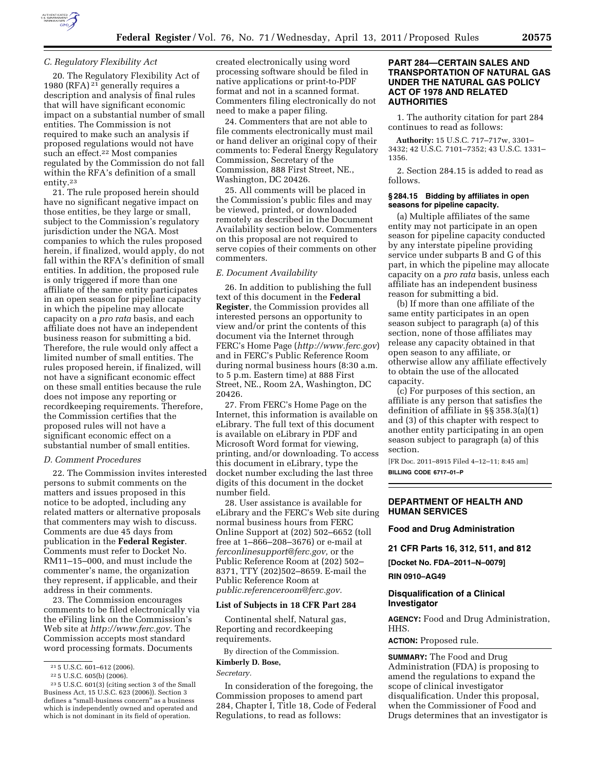

### *C. Regulatory Flexibility Act*

20. The Regulatory Flexibility Act of 1980 (RFA)  $2^{1}$  generally requires a description and analysis of final rules that will have significant economic impact on a substantial number of small entities. The Commission is not required to make such an analysis if proposed regulations would not have such an effect.<sup>22</sup> Most companies regulated by the Commission do not fall within the RFA's definition of a small entity.23

21. The rule proposed herein should have no significant negative impact on those entities, be they large or small, subject to the Commission's regulatory jurisdiction under the NGA. Most companies to which the rules proposed herein, if finalized, would apply, do not fall within the RFA's definition of small entities. In addition, the proposed rule is only triggered if more than one affiliate of the same entity participates in an open season for pipeline capacity in which the pipeline may allocate capacity on a *pro rata* basis, and each affiliate does not have an independent business reason for submitting a bid. Therefore, the rule would only affect a limited number of small entities. The rules proposed herein, if finalized, will not have a significant economic effect on these small entities because the rule does not impose any reporting or recordkeeping requirements. Therefore, the Commission certifies that the proposed rules will not have a significant economic effect on a substantial number of small entities.

# *D. Comment Procedures*

22. The Commission invites interested persons to submit comments on the matters and issues proposed in this notice to be adopted, including any related matters or alternative proposals that commenters may wish to discuss. Comments are due 45 days from publication in the **Federal Register**. Comments must refer to Docket No. RM11–15–000, and must include the commenter's name, the organization they represent, if applicable, and their address in their comments.

23. The Commission encourages comments to be filed electronically via the eFiling link on the Commission's Web site at *[http://www.ferc.gov.](http://www.ferc.gov)* The Commission accepts most standard word processing formats. Documents

created electronically using word processing software should be filed in native applications or print-to-PDF format and not in a scanned format. Commenters filing electronically do not need to make a paper filing.

24. Commenters that are not able to file comments electronically must mail or hand deliver an original copy of their comments to: Federal Energy Regulatory Commission, Secretary of the Commission, 888 First Street, NE., Washington, DC 20426.

25. All comments will be placed in the Commission's public files and may be viewed, printed, or downloaded remotely as described in the Document Availability section below. Commenters on this proposal are not required to serve copies of their comments on other commenters.

## *E. Document Availability*

26. In addition to publishing the full text of this document in the **Federal Register**, the Commission provides all interested persons an opportunity to view and/or print the contents of this document via the Internet through FERC's Home Page (*<http://www.ferc.gov>*) and in FERC's Public Reference Room during normal business hours (8:30 a.m. to 5 p.m. Eastern time) at 888 First Street, NE., Room 2A, Washington, DC 20426.

27. From FERC's Home Page on the Internet, this information is available on eLibrary. The full text of this document is available on eLibrary in PDF and Microsoft Word format for viewing, printing, and/or downloading. To access this document in eLibrary, type the docket number excluding the last three digits of this document in the docket number field.

28. User assistance is available for eLibrary and the FERC's Web site during normal business hours from FERC Online Support at (202) 502–6652 (toll free at 1–866–208–3676) or e-mail at *[ferconlinesupport@ferc.gov,](mailto:ferconlinesupport@ferc.gov)* or the Public Reference Room at (202) 502– 8371, TTY (202)502–8659. E-mail the Public Reference Room at *[public.referenceroom@ferc.gov.](mailto:public.referenceroom@ferc.gov)* 

### **List of Subjects in 18 CFR Part 284**

Continental shelf, Natural gas, Reporting and recordkeeping requirements.

By direction of the Commission. **Kimberly D. Bose,** 

*Secretary.* 

In consideration of the foregoing, the Commission proposes to amend part 284, Chapter I, Title 18, Code of Federal Regulations, to read as follows:

# **PART 284—CERTAIN SALES AND TRANSPORTATION OF NATURAL GAS UNDER THE NATURAL GAS POLICY ACT OF 1978 AND RELATED AUTHORITIES**

1. The authority citation for part 284 continues to read as follows:

**Authority:** 15 U.S.C. 717–717w, 3301– 3432; 42 U.S.C. 7101–7352; 43 U.S.C. 1331– 1356.

2. Section 284.15 is added to read as follows.

## **§ 284.15 Bidding by affiliates in open seasons for pipeline capacity.**

(a) Multiple affiliates of the same entity may not participate in an open season for pipeline capacity conducted by any interstate pipeline providing service under subparts B and G of this part, in which the pipeline may allocate capacity on a *pro rata* basis, unless each affiliate has an independent business reason for submitting a bid.

(b) If more than one affiliate of the same entity participates in an open season subject to paragraph (a) of this section, none of those affiliates may release any capacity obtained in that open season to any affiliate, or otherwise allow any affiliate effectively to obtain the use of the allocated capacity.

(c) For purposes of this section, an affiliate is any person that satisfies the definition of affiliate in §§ 358.3(a)(1) and (3) of this chapter with respect to another entity participating in an open season subject to paragraph (a) of this section.

[FR Doc. 2011–8915 Filed 4–12–11; 8:45 am] **BILLING CODE 6717–01–P** 

# **DEPARTMENT OF HEALTH AND HUMAN SERVICES**

## **Food and Drug Administration**

**21 CFR Parts 16, 312, 511, and 812** 

**[Docket No. FDA–2011–N–0079]** 

**RIN 0910–AG49** 

## **Disqualification of a Clinical Investigator**

**AGENCY:** Food and Drug Administration, HHS.

**ACTION:** Proposed rule.

**SUMMARY:** The Food and Drug Administration (FDA) is proposing to amend the regulations to expand the scope of clinical investigator disqualification. Under this proposal, when the Commissioner of Food and Drugs determines that an investigator is

<sup>21</sup> 5 U.S.C. 601–612 (2006).

<sup>22</sup> 5 U.S.C. 605(b) (2006).

<sup>23</sup> 5 U.S.C. 601(3) (citing section 3 of the Small Business Act, 15 U.S.C. 623 (2006)). Section 3 defines a ''small-business concern'' as a business which is independently owned and operated and which is not dominant in its field of operation.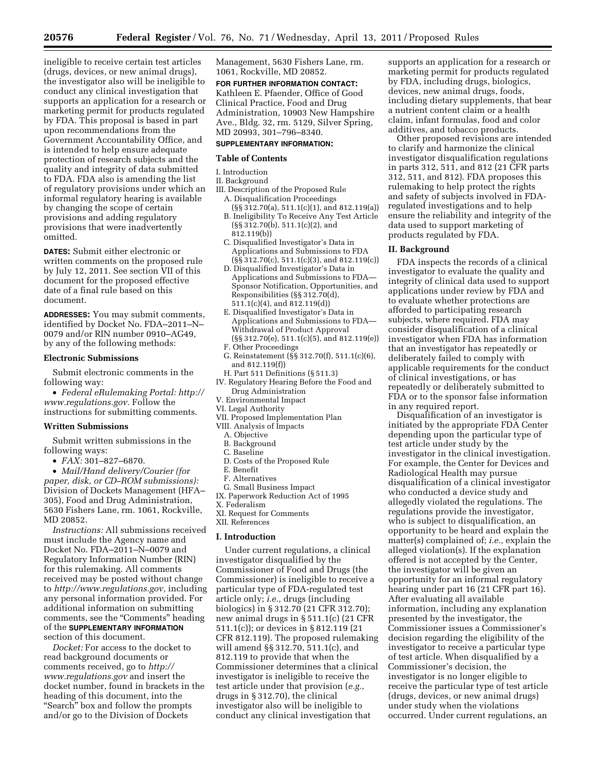ineligible to receive certain test articles (drugs, devices, or new animal drugs), the investigator also will be ineligible to conduct any clinical investigation that supports an application for a research or marketing permit for products regulated by FDA. This proposal is based in part upon recommendations from the Government Accountability Office, and is intended to help ensure adequate protection of research subjects and the quality and integrity of data submitted to FDA. FDA also is amending the list of regulatory provisions under which an informal regulatory hearing is available by changing the scope of certain provisions and adding regulatory provisions that were inadvertently omitted.

**DATES:** Submit either electronic or written comments on the proposed rule by July 12, 2011. See section VII of this document for the proposed effective date of a final rule based on this document.

**ADDRESSES:** You may submit comments, identified by Docket No. FDA–2011–N– 0079 and/or RIN number 0910–AG49, by any of the following methods:

## **Electronic Submissions**

Submit electronic comments in the following way:

• *Federal eRulemaking Portal: [http://](http://www.regulations.gov)  [www.regulations.gov.](http://www.regulations.gov)* Follow the instructions for submitting comments.

## **Written Submissions**

Submit written submissions in the following ways:

• *FAX:* 301–827–6870.

• *Mail/Hand delivery/Courier (for paper, disk, or CD–ROM submissions):*  Division of Dockets Management (HFA– 305), Food and Drug Administration, 5630 Fishers Lane, rm. 1061, Rockville, MD 20852.

*Instructions:* All submissions received must include the Agency name and Docket No. FDA–2011–N–0079 and Regulatory Information Number (RIN) for this rulemaking. All comments received may be posted without change to *[http://www.regulations.gov,](http://www.regulations.gov)* including any personal information provided. For additional information on submitting comments, see the "Comments" heading of the **SUPPLEMENTARY INFORMATION** section of this document.

*Docket:* For access to the docket to read background documents or comments received, go to *[http://](http://www.regulations.gov)  [www.regulations.gov](http://www.regulations.gov)* and insert the docket number, found in brackets in the heading of this document, into the ''Search'' box and follow the prompts and/or go to the Division of Dockets

Management, 5630 Fishers Lane, rm. 1061, Rockville, MD 20852.

### **FOR FURTHER INFORMATION CONTACT:**

Kathleen E. Pfaender, Office of Good Clinical Practice, Food and Drug Administration, 10903 New Hampshire Ave., Bldg. 32, rm. 5129, Silver Spring, MD 20993, 301–796–8340.

# **SUPPLEMENTARY INFORMATION:**

# **Table of Contents**

# I. Introduction

## II. Background

- III. Description of the Proposed Rule A. Disqualification Proceedings
	- (§§ 312.70(a), 511.1(c)(1), and 812.119(a)) B. Ineligibility To Receive Any Test Article
	- (§§ 312.70(b), 511.1(c)(2), and 812.119(b))
	- C. Disqualified Investigator's Data in Applications and Submissions to FDA  $(S\ S\ 312.70(c), 511.1(c)(3), and 812.119(c))$
	- D. Disqualified Investigator's Data in Applications and Submissions to FDA— Sponsor Notification, Opportunities, and Responsibilities (§§ 312.70(d), 511.1(c)(4), and 812.119(d))
	- E. Disqualified Investigator's Data in Applications and Submissions to FDA— Withdrawal of Product Approval (§§ 312.70(e), 511.1(c)(5), and 812.119(e))
	- F. Other Proceedings
	- G. Reinstatement (§§ 312.70(f), 511.1(c)(6), and 812.119(f))
- H. Part 511 Definitions (§ 511.3) IV. Regulatory Hearing Before the Food and
- Drug Administration V. Environmental Impact
- VI. Legal Authority
- 
- VII. Proposed Implementation Plan VIII. Analysis of Impacts
	- A. Objective
	- B. Background
	- C. Baseline
	- D. Costs of the Proposed Rule
	- E. Benefit
	- F. Alternatives
	- G. Small Business Impact
- IX. Paperwork Reduction Act of 1995
- X. Federalism
- XI. Request for Comments
- XII. References

## **I. Introduction**

Under current regulations, a clinical investigator disqualified by the Commissioner of Food and Drugs (the Commissioner) is ineligible to receive a particular type of FDA-regulated test article only; *i.e.,* drugs (including biologics) in § 312.70 (21 CFR 312.70); new animal drugs in § 511.1(c) (21 CFR 511.1(c)); or devices in § 812.119 (21 CFR 812.119). The proposed rulemaking will amend §§ 312.70, 511.1(c), and 812.119 to provide that when the Commissioner determines that a clinical investigator is ineligible to receive the test article under that provision (*e.g.,*  drugs in § 312.70), the clinical investigator also will be ineligible to conduct any clinical investigation that

supports an application for a research or marketing permit for products regulated by FDA, including drugs, biologics, devices, new animal drugs, foods, including dietary supplements, that bear a nutrient content claim or a health claim, infant formulas, food and color additives, and tobacco products.

Other proposed revisions are intended to clarify and harmonize the clinical investigator disqualification regulations in parts 312, 511, and 812 (21 CFR parts 312, 511, and 812). FDA proposes this rulemaking to help protect the rights and safety of subjects involved in FDAregulated investigations and to help ensure the reliability and integrity of the data used to support marketing of products regulated by FDA.

## **II. Background**

FDA inspects the records of a clinical investigator to evaluate the quality and integrity of clinical data used to support applications under review by FDA and to evaluate whether protections are afforded to participating research subjects, where required. FDA may consider disqualification of a clinical investigator when FDA has information that an investigator has repeatedly or deliberately failed to comply with applicable requirements for the conduct of clinical investigations, or has repeatedly or deliberately submitted to FDA or to the sponsor false information in any required report.

Disqualification of an investigator is initiated by the appropriate FDA Center depending upon the particular type of test article under study by the investigator in the clinical investigation. For example, the Center for Devices and Radiological Health may pursue disqualification of a clinical investigator who conducted a device study and allegedly violated the regulations. The regulations provide the investigator, who is subject to disqualification, an opportunity to be heard and explain the matter(s) complained of; *i.e.,* explain the alleged violation(s). If the explanation offered is not accepted by the Center, the investigator will be given an opportunity for an informal regulatory hearing under part 16 (21 CFR part 16). After evaluating all available information, including any explanation presented by the investigator, the Commissioner issues a Commissioner's decision regarding the eligibility of the investigator to receive a particular type of test article. When disqualified by a Commissioner's decision, the investigator is no longer eligible to receive the particular type of test article (drugs, devices, or new animal drugs) under study when the violations occurred. Under current regulations, an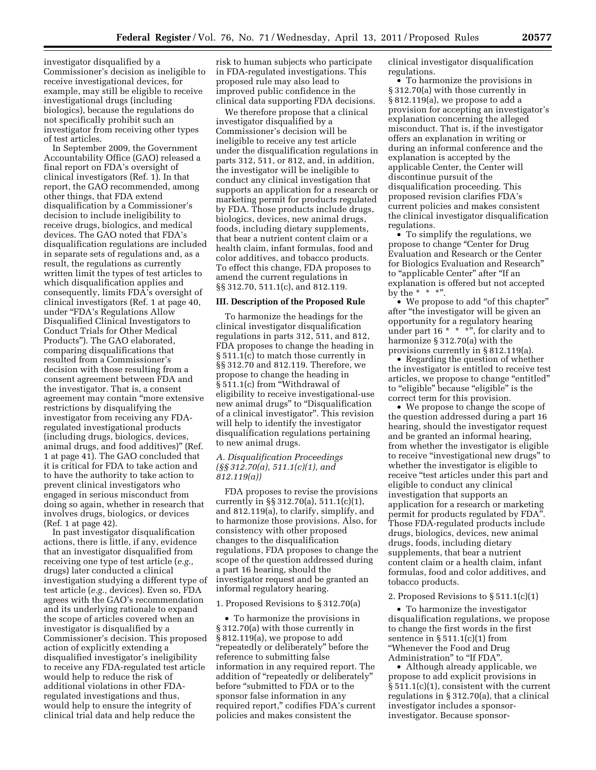investigator disqualified by a Commissioner's decision as ineligible to receive investigational devices, for example, may still be eligible to receive investigational drugs (including biologics), because the regulations do not specifically prohibit such an investigator from receiving other types of test articles.

In September 2009, the Government Accountability Office (GAO) released a final report on FDA's oversight of clinical investigators (Ref. 1). In that report, the GAO recommended, among other things, that FDA extend disqualification by a Commissioner's decision to include ineligibility to receive drugs, biologics, and medical devices. The GAO noted that FDA's disqualification regulations are included in separate sets of regulations and, as a result, the regulations as currently written limit the types of test articles to which disqualification applies and consequently, limits FDA's oversight of clinical investigators (Ref. 1 at page 40, under ''FDA's Regulations Allow Disqualified Clinical Investigators to Conduct Trials for Other Medical Products''). The GAO elaborated, comparing disqualifications that resulted from a Commissioner's decision with those resulting from a consent agreement between FDA and the investigator. That is, a consent agreement may contain ''more extensive restrictions by disqualifying the investigator from receiving any FDAregulated investigational products (including drugs, biologics, devices, animal drugs, and food additives)'' (Ref. 1 at page 41). The GAO concluded that it is critical for FDA to take action and to have the authority to take action to prevent clinical investigators who engaged in serious misconduct from doing so again, whether in research that involves drugs, biologics, or devices (Ref. 1 at page 42).

In past investigator disqualification actions, there is little, if any, evidence that an investigator disqualified from receiving one type of test article (*e.g.,*  drugs) later conducted a clinical investigation studying a different type of test article (*e.g.,* devices). Even so, FDA agrees with the GAO's recommendation and its underlying rationale to expand the scope of articles covered when an investigator is disqualified by a Commissioner's decision. This proposed action of explicitly extending a disqualified investigator's ineligibility to receive any FDA-regulated test article would help to reduce the risk of additional violations in other FDAregulated investigations and thus, would help to ensure the integrity of clinical trial data and help reduce the

risk to human subjects who participate in FDA-regulated investigations. This proposed rule may also lead to improved public confidence in the clinical data supporting FDA decisions.

We therefore propose that a clinical investigator disqualified by a Commissioner's decision will be ineligible to receive any test article under the disqualification regulations in parts 312, 511, or 812, and, in addition, the investigator will be ineligible to conduct any clinical investigation that supports an application for a research or marketing permit for products regulated by FDA. Those products include drugs, biologics, devices, new animal drugs, foods, including dietary supplements, that bear a nutrient content claim or a health claim, infant formulas, food and color additives, and tobacco products. To effect this change, FDA proposes to amend the current regulations in §§ 312.70, 511.1(c), and 812.119.

# **III. Description of the Proposed Rule**

To harmonize the headings for the clinical investigator disqualification regulations in parts 312, 511, and 812, FDA proposes to change the heading in § 511.1(c) to match those currently in §§ 312.70 and 812.119. Therefore, we propose to change the heading in § 511.1(c) from "Withdrawal of eligibility to receive investigational-use new animal drugs" to "Disqualification of a clinical investigator''. This revision will help to identify the investigator disqualification regulations pertaining to new animal drugs.

# *A. Disqualification Proceedings (§§ 312.70(a), 511.1(c)(1), and 812.119(a))*

FDA proposes to revise the provisions currently in §§ 312.70(a), 511.1(c)(1), and 812.119(a), to clarify, simplify, and to harmonize those provisions. Also, for consistency with other proposed changes to the disqualification regulations, FDA proposes to change the scope of the question addressed during a part 16 hearing, should the investigator request and be granted an informal regulatory hearing.

# 1. Proposed Revisions to § 312.70(a)

• To harmonize the provisions in § 312.70(a) with those currently in § 812.119(a), we propose to add ''repeatedly or deliberately'' before the reference to submitting false information in any required report. The addition of ''repeatedly or deliberately'' before ''submitted to FDA or to the sponsor false information in any required report,'' codifies FDA's current policies and makes consistent the

clinical investigator disqualification regulations.

• To harmonize the provisions in § 312.70(a) with those currently in § 812.119(a), we propose to add a provision for accepting an investigator's explanation concerning the alleged misconduct. That is, if the investigator offers an explanation in writing or during an informal conference and the explanation is accepted by the applicable Center, the Center will discontinue pursuit of the disqualification proceeding. This proposed revision clarifies FDA's current policies and makes consistent the clinical investigator disqualification regulations.

• To simplify the regulations, we propose to change ''Center for Drug Evaluation and Research or the Center for Biologics Evaluation and Research'' to "applicable Center" after "If an explanation is offered but not accepted by the \*  $*$  \*".

• We propose to add ''of this chapter'' after ''the investigator will be given an opportunity for a regulatory hearing under part  $16 * * *$ , for clarity and to harmonize § 312.70(a) with the provisions currently in § 812.119(a).

• Regarding the question of whether the investigator is entitled to receive test articles, we propose to change ''entitled'' to "eligible" because "eligible" is the correct term for this provision.

• We propose to change the scope of the question addressed during a part 16 hearing, should the investigator request and be granted an informal hearing, from whether the investigator is eligible to receive ''investigational new drugs'' to whether the investigator is eligible to receive "test articles under this part and eligible to conduct any clinical investigation that supports an application for a research or marketing permit for products regulated by FDA''. Those FDA-regulated products include drugs, biologics, devices, new animal drugs, foods, including dietary supplements, that bear a nutrient content claim or a health claim, infant formulas, food and color additives, and tobacco products.

#### 2. Proposed Revisions to § 511.1(c)(1)

• To harmonize the investigator disqualification regulations, we propose to change the first words in the first sentence in  $\S 511.1(c)(1)$  from ''Whenever the Food and Drug Administration'' to ''If FDA''.

• Although already applicable, we propose to add explicit provisions in § 511.1(c)(1), consistent with the current regulations in § 312.70(a), that a clinical investigator includes a sponsorinvestigator. Because sponsor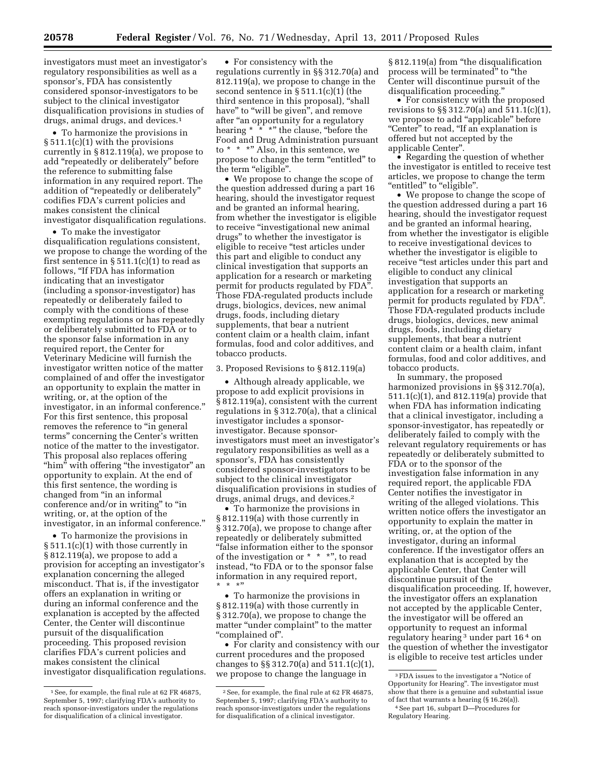investigators must meet an investigator's regulatory responsibilities as well as a sponsor's, FDA has consistently considered sponsor-investigators to be subject to the clinical investigator disqualification provisions in studies of drugs, animal drugs, and devices.1

• To harmonize the provisions in § 511.1(c)(1) with the provisions currently in § 812.119(a), we propose to add ''repeatedly or deliberately'' before the reference to submitting false information in any required report. The addition of "repeatedly or deliberately" codifies FDA's current policies and makes consistent the clinical investigator disqualification regulations.

• To make the investigator disqualification regulations consistent, we propose to change the wording of the first sentence in  $\S 511.1(c)(1)$  to read as follows, ''If FDA has information indicating that an investigator (including a sponsor-investigator) has repeatedly or deliberately failed to comply with the conditions of these exempting regulations or has repeatedly or deliberately submitted to FDA or to the sponsor false information in any required report, the Center for Veterinary Medicine will furnish the investigator written notice of the matter complained of and offer the investigator an opportunity to explain the matter in writing, or, at the option of the investigator, in an informal conference.'' For this first sentence, this proposal removes the reference to "in general terms'' concerning the Center's written notice of the matter to the investigator. This proposal also replaces offering "him" with offering "the investigator" an opportunity to explain. At the end of this first sentence, the wording is changed from ''in an informal conference and/or in writing'' to ''in writing, or, at the option of the investigator, in an informal conference.''

• To harmonize the provisions in § 511.1(c)(1) with those currently in § 812.119(a), we propose to add a provision for accepting an investigator's explanation concerning the alleged misconduct. That is, if the investigator offers an explanation in writing or during an informal conference and the explanation is accepted by the affected Center, the Center will discontinue pursuit of the disqualification proceeding. This proposed revision clarifies FDA's current policies and makes consistent the clinical investigator disqualification regulations.

• For consistency with the regulations currently in §§ 312.70(a) and 812.119(a), we propose to change in the second sentence in § 511.1(c)(1) (the third sentence in this proposal), ''shall have" to "will be given", and remove after "an opportunity for a regulatory hearing \* \* \*" the clause, "before the Food and Drug Administration pursuant to \* \* \*'' Also, in this sentence, we propose to change the term ''entitled'' to the term "eligible".

• We propose to change the scope of the question addressed during a part 16 hearing, should the investigator request and be granted an informal hearing, from whether the investigator is eligible to receive ''investigational new animal drugs'' to whether the investigator is eligible to receive ''test articles under this part and eligible to conduct any clinical investigation that supports an application for a research or marketing permit for products regulated by FDA''. Those FDA-regulated products include drugs, biologics, devices, new animal drugs, foods, including dietary supplements, that bear a nutrient content claim or a health claim, infant formulas, food and color additives, and tobacco products.

## 3. Proposed Revisions to § 812.119(a)

• Although already applicable, we propose to add explicit provisions in § 812.119(a), consistent with the current regulations in § 312.70(a), that a clinical investigator includes a sponsorinvestigator. Because sponsorinvestigators must meet an investigator's regulatory responsibilities as well as a sponsor's, FDA has consistently considered sponsor-investigators to be subject to the clinical investigator disqualification provisions in studies of drugs, animal drugs, and devices.2

• To harmonize the provisions in § 812.119(a) with those currently in § 312.70(a), we propose to change after repeatedly or deliberately submitted ''false information either to the sponsor of the investigation or \* \* \*'', to read instead, ''to FDA or to the sponsor false information in any required report, \*\*\*''

• To harmonize the provisions in § 812.119(a) with those currently in § 312.70(a), we propose to change the matter "under complaint" to the matter ''complained of''.

• For clarity and consistency with our current procedures and the proposed changes to §§ 312.70(a) and 511.1(c)(1), we propose to change the language in

§ 812.119(a) from "the disqualification process will be terminated" to "the Center will discontinue pursuit of the disqualification proceeding.''

• For consistency with the proposed revisions to §§ 312.70(a) and 511.1(c)(1), we propose to add ''applicable'' before "Center" to read, "If an explanation is offered but not accepted by the applicable Center''.

• Regarding the question of whether the investigator is entitled to receive test articles, we propose to change the term ''entitled'' to ''eligible''.

• We propose to change the scope of the question addressed during a part 16 hearing, should the investigator request and be granted an informal hearing, from whether the investigator is eligible to receive investigational devices to whether the investigator is eligible to receive "test articles under this part and eligible to conduct any clinical investigation that supports an application for a research or marketing permit for products regulated by FDA''. Those FDA-regulated products include drugs, biologics, devices, new animal drugs, foods, including dietary supplements, that bear a nutrient content claim or a health claim, infant formulas, food and color additives, and tobacco products.

In summary, the proposed harmonized provisions in §§ 312.70(a), 511.1(c)(1), and 812.119(a) provide that when FDA has information indicating that a clinical investigator, including a sponsor-investigator, has repeatedly or deliberately failed to comply with the relevant regulatory requirements or has repeatedly or deliberately submitted to FDA or to the sponsor of the investigation false information in any required report, the applicable FDA Center notifies the investigator in writing of the alleged violations. This written notice offers the investigator an opportunity to explain the matter in writing, or, at the option of the investigator, during an informal conference. If the investigator offers an explanation that is accepted by the applicable Center, that Center will discontinue pursuit of the disqualification proceeding. If, however, the investigator offers an explanation not accepted by the applicable Center, the investigator will be offered an opportunity to request an informal regulatory hearing 3 under part 16 4 on the question of whether the investigator is eligible to receive test articles under

<sup>1</sup>See, for example, the final rule at 62 FR 46875, September 5, 1997; clarifying FDA's authority to reach sponsor-investigators under the regulations for disqualification of a clinical investigator.

<sup>2</sup>See, for example, the final rule at 62 FR 46875, September 5, 1997; clarifying FDA's authority to reach sponsor-investigators under the regulations for disqualification of a clinical investigator.

 $^{\rm 3}$  FDA issues to the investigator a "Notice of Opportunity for Hearing''. The investigator must show that there is a genuine and substantial issue of fact that warrants a hearing (§ 16.26(a)).

<sup>4</sup>See part 16, subpart D—Procedures for Regulatory Hearing.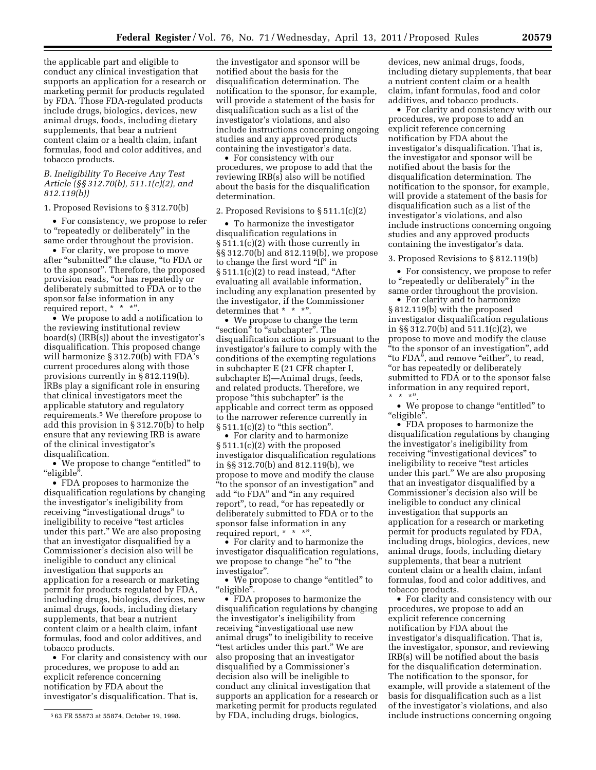the applicable part and eligible to conduct any clinical investigation that supports an application for a research or marketing permit for products regulated by FDA. Those FDA-regulated products include drugs, biologics, devices, new animal drugs, foods, including dietary supplements, that bear a nutrient content claim or a health claim, infant formulas, food and color additives, and tobacco products.

## *B. Ineligibility To Receive Any Test Article (§§ 312.70(b), 511.1(c)(2), and 812.119(b))*

#### 1. Proposed Revisions to § 312.70(b)

• For consistency, we propose to refer to ''repeatedly or deliberately'' in the same order throughout the provision.

• For clarity, we propose to move after "submitted" the clause, "to FDA or to the sponsor''. Therefore, the proposed provision reads, ''or has repeatedly or deliberately submitted to FDA or to the sponsor false information in any required report, \* \* \*".

• We propose to add a notification to the reviewing institutional review board(s) (IRB(s)) about the investigator's disqualification. This proposed change will harmonize  $\S 312.70(b)$  with FDA's current procedures along with those provisions currently in § 812.119(b). IRBs play a significant role in ensuring that clinical investigators meet the applicable statutory and regulatory requirements.5 We therefore propose to add this provision in § 312.70(b) to help ensure that any reviewing IRB is aware of the clinical investigator's disqualification.

• We propose to change "entitled" to ''eligible''.

• FDA proposes to harmonize the disqualification regulations by changing the investigator's ineligibility from receiving "investigational drugs" to ineligibility to receive "test articles under this part.'' We are also proposing that an investigator disqualified by a Commissioner's decision also will be ineligible to conduct any clinical investigation that supports an application for a research or marketing permit for products regulated by FDA, including drugs, biologics, devices, new animal drugs, foods, including dietary supplements, that bear a nutrient content claim or a health claim, infant formulas, food and color additives, and tobacco products.

• For clarity and consistency with our procedures, we propose to add an explicit reference concerning notification by FDA about the investigator's disqualification. That is,

the investigator and sponsor will be notified about the basis for the disqualification determination. The notification to the sponsor, for example, will provide a statement of the basis for disqualification such as a list of the investigator's violations, and also include instructions concerning ongoing studies and any approved products containing the investigator's data.

• For consistency with our procedures, we propose to add that the reviewing IRB(s) also will be notified about the basis for the disqualification determination.

## 2. Proposed Revisions to § 511.1(c)(2)

• To harmonize the investigator disqualification regulations in § 511.1(c)(2) with those currently in §§ 312.70(b) and 812.119(b), we propose to change the first word ''If'' in § 511.1(c)(2) to read instead, "After evaluating all available information, including any explanation presented by the investigator, if the Commissioner determines that \* \* \*".

• We propose to change the term "section" to "subchapter". The disqualification action is pursuant to the investigator's failure to comply with the conditions of the exempting regulations in subchapter E (21 CFR chapter I, subchapter E)—Animal drugs, feeds, and related products. Therefore, we propose ''this subchapter'' is the applicable and correct term as opposed to the narrower reference currently in  $\S 511.1(c)(2)$  to "this section".

• For clarity and to harmonize § 511.1(c)(2) with the proposed investigator disqualification regulations in §§ 312.70(b) and 812.119(b), we propose to move and modify the clause ''to the sponsor of an investigation'' and add "to FDA" and "in any required report'', to read, ''or has repeatedly or deliberately submitted to FDA or to the sponsor false information in any required report, \* \* \*".

• For clarity and to harmonize the investigator disqualification regulations, we propose to change "he" to "the investigator''.

• We propose to change "entitled" to ''eligible''.

• FDA proposes to harmonize the disqualification regulations by changing the investigator's ineligibility from receiving "investigational use new animal drugs'' to ineligibility to receive ''test articles under this part.'' We are also proposing that an investigator disqualified by a Commissioner's decision also will be ineligible to conduct any clinical investigation that supports an application for a research or marketing permit for products regulated by FDA, including drugs, biologics,

devices, new animal drugs, foods, including dietary supplements, that bear a nutrient content claim or a health claim, infant formulas, food and color additives, and tobacco products.

• For clarity and consistency with our procedures, we propose to add an explicit reference concerning notification by FDA about the investigator's disqualification. That is, the investigator and sponsor will be notified about the basis for the disqualification determination. The notification to the sponsor, for example, will provide a statement of the basis for disqualification such as a list of the investigator's violations, and also include instructions concerning ongoing studies and any approved products containing the investigator's data.

#### 3. Proposed Revisions to § 812.119(b)

• For consistency, we propose to refer to "repeatedly or deliberately" in the same order throughout the provision.

• For clarity and to harmonize § 812.119(b) with the proposed investigator disqualification regulations in §§ 312.70(b) and 511.1(c)(2), we propose to move and modify the clause ''to the sponsor of an investigation'', add "to FDA", and remove "either", to read, ''or has repeatedly or deliberately submitted to FDA or to the sponsor false information in any required report,  $*$  \* \*"

• We propose to change "entitled" to  $"$ eligible".

• FDA proposes to harmonize the disqualification regulations by changing the investigator's ineligibility from receiving "investigational devices" to ineligibility to receive "test articles" under this part.'' We are also proposing that an investigator disqualified by a Commissioner's decision also will be ineligible to conduct any clinical investigation that supports an application for a research or marketing permit for products regulated by FDA, including drugs, biologics, devices, new animal drugs, foods, including dietary supplements, that bear a nutrient content claim or a health claim, infant formulas, food and color additives, and tobacco products.

• For clarity and consistency with our procedures, we propose to add an explicit reference concerning notification by FDA about the investigator's disqualification. That is, the investigator, sponsor, and reviewing IRB(s) will be notified about the basis for the disqualification determination. The notification to the sponsor, for example, will provide a statement of the basis for disqualification such as a list of the investigator's violations, and also include instructions concerning ongoing

<sup>5</sup> 63 FR 55873 at 55874, October 19, 1998.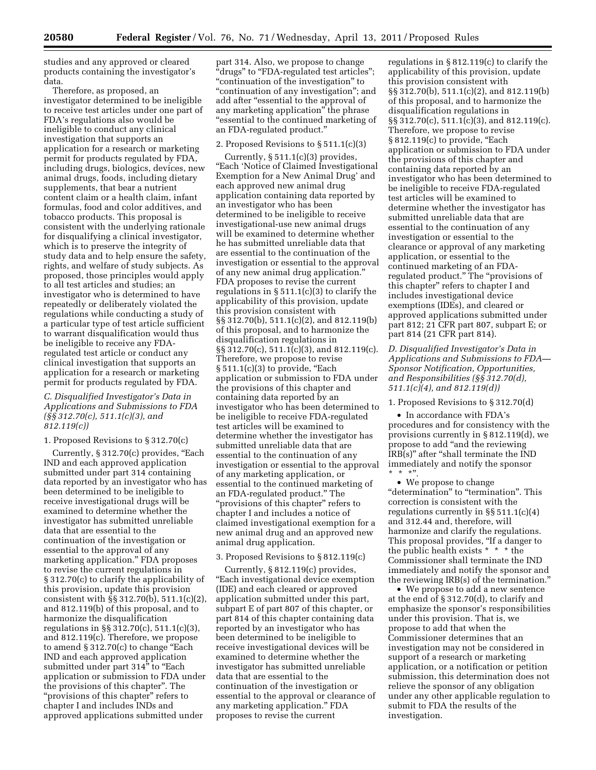studies and any approved or cleared products containing the investigator's data.

Therefore, as proposed, an investigator determined to be ineligible to receive test articles under one part of FDA's regulations also would be ineligible to conduct any clinical investigation that supports an application for a research or marketing permit for products regulated by FDA, including drugs, biologics, devices, new animal drugs, foods, including dietary supplements, that bear a nutrient content claim or a health claim, infant formulas, food and color additives, and tobacco products. This proposal is consistent with the underlying rationale for disqualifying a clinical investigator, which is to preserve the integrity of study data and to help ensure the safety, rights, and welfare of study subjects. As proposed, those principles would apply to all test articles and studies; an investigator who is determined to have repeatedly or deliberately violated the regulations while conducting a study of a particular type of test article sufficient to warrant disqualification would thus be ineligible to receive any FDAregulated test article or conduct any clinical investigation that supports an application for a research or marketing permit for products regulated by FDA.

# *C. Disqualified Investigator's Data in Applications and Submissions to FDA (§§ 312.70(c), 511.1(c)(3), and 812.119(c))*

## 1. Proposed Revisions to § 312.70(c)

Currently, § 312.70(c) provides, "Each IND and each approved application submitted under part 314 containing data reported by an investigator who has been determined to be ineligible to receive investigational drugs will be examined to determine whether the investigator has submitted unreliable data that are essential to the continuation of the investigation or essential to the approval of any marketing application.'' FDA proposes to revise the current regulations in § 312.70(c) to clarify the applicability of this provision, update this provision consistent with §§ 312.70(b), 511.1(c)(2), and 812.119(b) of this proposal, and to harmonize the disqualification regulations in §§ 312.70(c), 511.1(c)(3), and 812.119(c). Therefore, we propose to amend  $\S 312.70(c)$  to change "Each IND and each approved application submitted under part 314" to "Each application or submission to FDA under the provisions of this chapter''. The "provisions of this chapter" refers to chapter I and includes INDs and approved applications submitted under

part 314. Also, we propose to change "drugs" to "FDA-regulated test articles"; "continuation of the investigation" to "continuation of any investigation"; and add after "essential to the approval of any marketing application'' the phrase ''essential to the continued marketing of an FDA-regulated product.''

### 2. Proposed Revisions to § 511.1(c)(3)

Currently,  $\S 511.1(c)(3)$  provides, ''Each 'Notice of Claimed Investigational Exemption for a New Animal Drug' and each approved new animal drug application containing data reported by an investigator who has been determined to be ineligible to receive investigational-use new animal drugs will be examined to determine whether he has submitted unreliable data that are essential to the continuation of the investigation or essential to the approval of any new animal drug application.'' FDA proposes to revise the current regulations in  $\S 511.1(c)(3)$  to clarify the applicability of this provision, update this provision consistent with §§ 312.70(b), 511.1(c)(2), and 812.119(b) of this proposal, and to harmonize the disqualification regulations in §§ 312.70(c), 511.1(c)(3), and 812.119(c). Therefore, we propose to revise  $\S 511.1(c)(3)$  to provide, "Each application or submission to FDA under the provisions of this chapter and containing data reported by an investigator who has been determined to be ineligible to receive FDA-regulated test articles will be examined to determine whether the investigator has submitted unreliable data that are essential to the continuation of any investigation or essential to the approval of any marketing application, or essential to the continued marketing of an FDA-regulated product.'' The "provisions of this chapter" refers to chapter I and includes a notice of claimed investigational exemption for a new animal drug and an approved new animal drug application.

## 3. Proposed Revisions to § 812.119(c)

Currently, § 812.119(c) provides, ''Each investigational device exemption (IDE) and each cleared or approved application submitted under this part, subpart E of part 807 of this chapter, or part 814 of this chapter containing data reported by an investigator who has been determined to be ineligible to receive investigational devices will be examined to determine whether the investigator has submitted unreliable data that are essential to the continuation of the investigation or essential to the approval or clearance of any marketing application.'' FDA proposes to revise the current

regulations in § 812.119(c) to clarify the applicability of this provision, update this provision consistent with §§ 312.70(b), 511.1(c)(2), and 812.119(b) of this proposal, and to harmonize the disqualification regulations in §§ 312.70(c), 511.1(c)(3), and 812.119(c). Therefore, we propose to revise  $\S 812.119(c)$  to provide, "Each application or submission to FDA under the provisions of this chapter and containing data reported by an investigator who has been determined to be ineligible to receive FDA-regulated test articles will be examined to determine whether the investigator has submitted unreliable data that are essential to the continuation of any investigation or essential to the clearance or approval of any marketing application, or essential to the continued marketing of an FDAregulated product.'' The ''provisions of this chapter'' refers to chapter I and includes investigational device exemptions (IDEs), and cleared or approved applications submitted under part 812; 21 CFR part 807, subpart E; or part 814 (21 CFR part 814).

*D. Disqualified Investigator's Data in Applications and Submissions to FDA— Sponsor Notification, Opportunities, and Responsibilities (§§ 312.70(d), 511.1(c)(4), and 812.119(d))* 

### 1. Proposed Revisions to § 312.70(d)

• In accordance with FDA's procedures and for consistency with the provisions currently in § 812.119(d), we propose to add ''and the reviewing IRB(s)'' after ''shall terminate the IND immediately and notify the sponsor  $*$  \* \*"

• We propose to change "determination" to "termination". This correction is consistent with the regulations currently in §§ 511.1(c)(4) and 312.44 and, therefore, will harmonize and clarify the regulations. This proposal provides, "If a danger to the public health exists  $* * * *$  the Commissioner shall terminate the IND immediately and notify the sponsor and the reviewing IRB(s) of the termination.''

• We propose to add a new sentence at the end of § 312.70(d), to clarify and emphasize the sponsor's responsibilities under this provision. That is, we propose to add that when the Commissioner determines that an investigation may not be considered in support of a research or marketing application, or a notification or petition submission, this determination does not relieve the sponsor of any obligation under any other applicable regulation to submit to FDA the results of the investigation.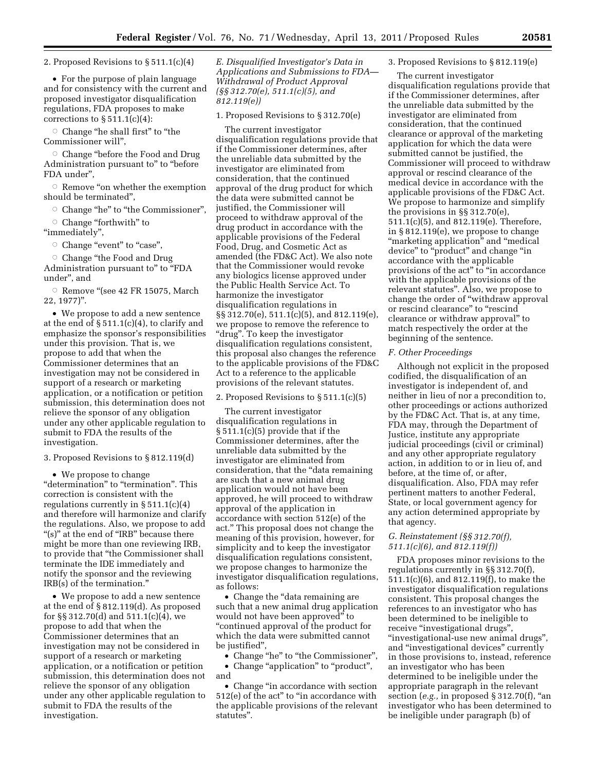2. Proposed Revisions to § 511.1(c)(4)

• For the purpose of plain language and for consistency with the current and proposed investigator disqualification regulations, FDA proposes to make corrections to  $\S 511.1(c)(4)$ :

 $\circ$  Change "he shall first" to "the Commissioner will'',

 $\circ$  Change "before the Food and Drug Administration pursuant to" to "before FDA under'',

 $\circ$  Remove "on whether the exemption should be terminated'',

O Change "he" to "the Commissioner",

Change "forthwith" to ''immediately'',

Change "event" to "case",

Change "the Food and Drug Administration pursuant to" to "FDA

under'', and  $\circ$  Remove "(see 42 FR 15075, March

22, 1977)''.

• We propose to add a new sentence at the end of  $\S 511.1(c)(4)$ , to clarify and emphasize the sponsor's responsibilities under this provision. That is, we propose to add that when the Commissioner determines that an investigation may not be considered in support of a research or marketing application, or a notification or petition submission, this determination does not relieve the sponsor of any obligation under any other applicable regulation to submit to FDA the results of the investigation.

3. Proposed Revisions to § 812.119(d)

• We propose to change "determination" to "termination". This correction is consistent with the regulations currently in § 511.1(c)(4) and therefore will harmonize and clarify the regulations. Also, we propose to add "(s)" at the end of "IRB" because there might be more than one reviewing IRB, to provide that ''the Commissioner shall terminate the IDE immediately and notify the sponsor and the reviewing IRB(s) of the termination.''

• We propose to add a new sentence at the end of § 812.119(d). As proposed for §§ 312.70(d) and 511.1(c)(4), we propose to add that when the Commissioner determines that an investigation may not be considered in support of a research or marketing application, or a notification or petition submission, this determination does not relieve the sponsor of any obligation under any other applicable regulation to submit to FDA the results of the investigation.

*E. Disqualified Investigator's Data in Applications and Submissions to FDA— Withdrawal of Product Approval (§§ 312.70(e), 511.1(c)(5), and 812.119(e))* 

1. Proposed Revisions to § 312.70(e)

The current investigator disqualification regulations provide that if the Commissioner determines, after the unreliable data submitted by the investigator are eliminated from consideration, that the continued approval of the drug product for which the data were submitted cannot be justified, the Commissioner will proceed to withdraw approval of the drug product in accordance with the applicable provisions of the Federal Food, Drug, and Cosmetic Act as amended (the FD&C Act). We also note that the Commissioner would revoke any biologics license approved under the Public Health Service Act. To harmonize the investigator disqualification regulations in §§ 312.70(e), 511.1(c)(5), and 812.119(e), we propose to remove the reference to ''drug''. To keep the investigator disqualification regulations consistent, this proposal also changes the reference to the applicable provisions of the FD&C Act to a reference to the applicable provisions of the relevant statutes.

2. Proposed Revisions to § 511.1(c)(5)

The current investigator disqualification regulations in § 511.1(c)(5) provide that if the Commissioner determines, after the unreliable data submitted by the investigator are eliminated from consideration, that the ''data remaining are such that a new animal drug application would not have been approved, he will proceed to withdraw approval of the application in accordance with section 512(e) of the act.'' This proposal does not change the meaning of this provision, however, for simplicity and to keep the investigator disqualification regulations consistent, we propose changes to harmonize the investigator disqualification regulations, as follows:

• Change the "data remaining are such that a new animal drug application would not have been approved'' to ''continued approval of the product for which the data were submitted cannot be justified'',

• Change "he" to "the Commissioner",

• Change "application" to "product", and

• Change "in accordance with section 512(e) of the act'' to ''in accordance with the applicable provisions of the relevant statutes''.

#### 3. Proposed Revisions to § 812.119(e)

The current investigator disqualification regulations provide that if the Commissioner determines, after the unreliable data submitted by the investigator are eliminated from consideration, that the continued clearance or approval of the marketing application for which the data were submitted cannot be justified, the Commissioner will proceed to withdraw approval or rescind clearance of the medical device in accordance with the applicable provisions of the FD&C Act. We propose to harmonize and simplify the provisions in §§ 312.70(e), 511.1(c)(5), and 812.119(e). Therefore, in § 812.119(e), we propose to change ''marketing application'' and ''medical device'' to ''product'' and change ''in accordance with the applicable provisions of the act" to "in accordance with the applicable provisions of the relevant statutes''. Also, we propose to change the order of ''withdraw approval or rescind clearance" to "rescind clearance or withdraw approval'' to match respectively the order at the beginning of the sentence.

### *F. Other Proceedings*

Although not explicit in the proposed codified, the disqualification of an investigator is independent of, and neither in lieu of nor a precondition to, other proceedings or actions authorized by the FD&C Act. That is, at any time, FDA may, through the Department of Justice, institute any appropriate judicial proceedings (civil or criminal) and any other appropriate regulatory action, in addition to or in lieu of, and before, at the time of, or after, disqualification. Also, FDA may refer pertinent matters to another Federal, State, or local government agency for any action determined appropriate by that agency.

## *G. Reinstatement (§§ 312.70(f), 511.1(c)(6), and 812.119(f))*

FDA proposes minor revisions to the regulations currently in §§ 312.70(f), 511.1(c)(6), and 812.119(f), to make the investigator disqualification regulations consistent. This proposal changes the references to an investigator who has been determined to be ineligible to receive "investigational drugs", ''investigational-use new animal drugs'', and ''investigational devices'' currently in those provisions to, instead, reference an investigator who has been determined to be ineligible under the appropriate paragraph in the relevant section (*e.g.,* in proposed § 312.70(f), ''an investigator who has been determined to be ineligible under paragraph (b) of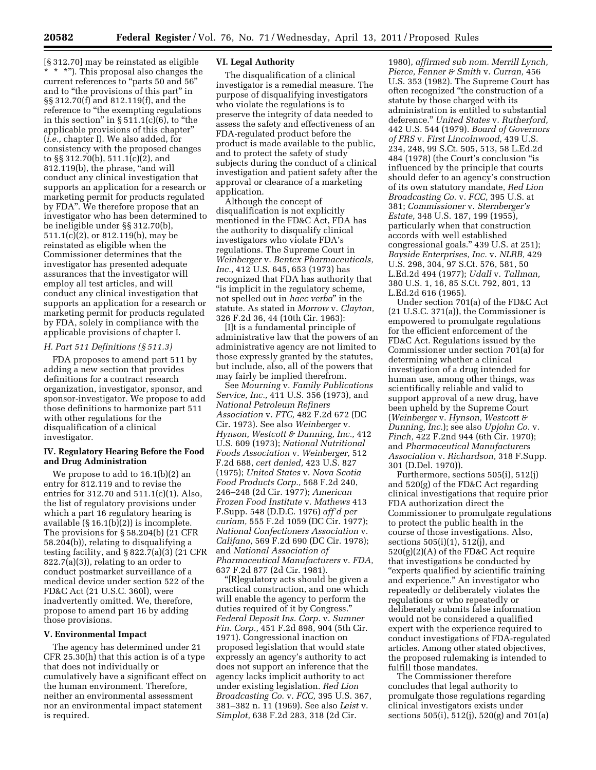[§ 312.70] may be reinstated as eligible \*\*\*''). This proposal also changes the current references to "parts 50 and 56" and to "the provisions of this part" in §§ 312.70(f) and 812.119(f), and the reference to "the exempting regulations" in this section" in  $\S 511.1(c)(6)$ , to "the applicable provisions of this chapter'' (*i.e.,* chapter I). We also added, for consistency with the proposed changes to §§ 312.70(b), 511.1(c)(2), and 812.119(b), the phrase, "and will conduct any clinical investigation that supports an application for a research or marketing permit for products regulated by FDA''. We therefore propose that an investigator who has been determined to be ineligible under §§ 312.70(b), 511.1(c)(2), or 812.119(b), may be reinstated as eligible when the Commissioner determines that the investigator has presented adequate assurances that the investigator will employ all test articles, and will conduct any clinical investigation that supports an application for a research or marketing permit for products regulated by FDA, solely in compliance with the applicable provisions of chapter I.

## *H. Part 511 Definitions (§ 511.3)*

FDA proposes to amend part 511 by adding a new section that provides definitions for a contract research organization, investigator, sponsor, and sponsor-investigator. We propose to add those definitions to harmonize part 511 with other regulations for the disqualification of a clinical investigator.

## **IV. Regulatory Hearing Before the Food and Drug Administration**

We propose to add to 16.1(b)(2) an entry for 812.119 and to revise the entries for 312.70 and 511.1(c)(1). Also, the list of regulatory provisions under which a part 16 regulatory hearing is available (§ 16.1(b)(2)) is incomplete. The provisions for § 58.204(b) (21 CFR 58.204(b)), relating to disqualifying a testing facility, and § 822.7(a)(3) (21 CFR 822.7(a)(3)), relating to an order to conduct postmarket surveillance of a medical device under section 522 of the FD&C Act (21 U.S.C. 360l), were inadvertently omitted. We, therefore, propose to amend part 16 by adding those provisions.

## **V. Environmental Impact**

The agency has determined under 21 CFR 25.30(h) that this action is of a type that does not individually or cumulatively have a significant effect on the human environment. Therefore, neither an environmental assessment nor an environmental impact statement is required.

## **VI. Legal Authority**

The disqualification of a clinical investigator is a remedial measure. The purpose of disqualifying investigators who violate the regulations is to preserve the integrity of data needed to assess the safety and effectiveness of an FDA-regulated product before the product is made available to the public, and to protect the safety of study subjects during the conduct of a clinical investigation and patient safety after the approval or clearance of a marketing application.

Although the concept of disqualification is not explicitly mentioned in the FD&C Act, FDA has the authority to disqualify clinical investigators who violate FDA's regulations. The Supreme Court in *Weinberger* v. *Bentex Pharmaceuticals, Inc.,* 412 U.S. 645, 653 (1973) has recognized that FDA has authority that ''is implicit in the regulatory scheme, not spelled out in *haec verba*'' in the statute. As stated in *Morrow* v. *Clayton,*  326 F.2d 36, 44 (10th Cir. 1963):

[I]t is a fundamental principle of administrative law that the powers of an administrative agency are not limited to those expressly granted by the statutes, but include, also, all of the powers that may fairly be implied therefrom.

See *Mourning* v. *Family Publications Service, Inc.,* 411 U.S. 356 (1973), and *National Petroleum Refiners Association* v. *FTC,* 482 F.2d 672 (DC Cir. 1973). See also *Weinberger* v. *Hynson, Westcott & Dunning, Inc.,* 412 U.S. 609 (1973); *National Nutritional Foods Association* v. *Weinberger,* 512 F.2d 688, *cert denied,* 423 U.S. 827 (1975); *United States* v. *Nova Scotia Food Products Corp.,* 568 F.2d 240, 246–248 (2d Cir. 1977); *American Frozen Food Institute* v. *Mathews* 413 F.Supp. 548 (D.D.C. 1976) *aff'd per curiam,* 555 F.2d 1059 (DC Cir. 1977); *National Confectioners Association* v. *Califano,* 569 F.2d 690 (DC Cir. 1978); and *National Association of Pharmaceutical Manufacturers* v. *FDA,*  637 F.2d 877 (2d Cir. 1981).

''[R]egulatory acts should be given a practical construction, and one which will enable the agency to perform the duties required of it by Congress.'' *Federal Deposit Ins. Corp.* v. *Sumner Fin. Corp.,* 451 F.2d 898, 904 (5th Cir. 1971). Congressional inaction on proposed legislation that would state expressly an agency's authority to act does not support an inference that the agency lacks implicit authority to act under existing legislation. *Red Lion Broadcasting Co.* v. *FCC,* 395 U.S. 367, 381–382 n. 11 (1969). See also *Leist* v. *Simplot,* 638 F.2d 283, 318 (2d Cir.

1980), *affirmed sub nom. Merrill Lynch, Pierce, Fenner & Smith* v. *Curran,* 456 U.S. 353 (1982). The Supreme Court has often recognized ''the construction of a statute by those charged with its administration is entitled to substantial deference.'' *United States* v. *Rutherford,*  442 U.S. 544 (1979). *Board of Governors of FRS* v. *First Lincolnwood,* 439 U.S. 234, 248, 99 S.Ct. 505, 513, 58 L.Ed.2d 484 (1978) (the Court's conclusion ''is influenced by the principle that courts should defer to an agency's construction of its own statutory mandate, *Red Lion Broadcasting Co.* v. *FCC,* 395 U.S. at 381; *Commissioner* v. *Sternberger's Estate,* 348 U.S. 187, 199 (1955), particularly when that construction accords with well established congressional goals.'' 439 U.S. at 251); *Bayside Enterprises, Inc.* v. *NLRB,* 429 U.S. 298, 304, 97 S.Ct. 576, 581, 50 L.Ed.2d 494 (1977); *Udall* v. *Tallman,*  380 U.S. 1, 16, 85 S.Ct. 792, 801, 13 L.Ed.2d 616 (1965).

Under section 701(a) of the FD&C Act (21 U.S.C. 371(a)), the Commissioner is empowered to promulgate regulations for the efficient enforcement of the FD&C Act. Regulations issued by the Commissioner under section 701(a) for determining whether a clinical investigation of a drug intended for human use, among other things, was scientifically reliable and valid to support approval of a new drug, have been upheld by the Supreme Court (*Weinberger* v. *Hynson, Westcott & Dunning, Inc.*); see also *Upjohn Co.* v. *Finch,* 422 F.2nd 944 (6th Cir. 1970); and *Pharmaceutical Manufacturers Association* v. *Richardson,* 318 F.Supp. 301 (D.Del. 1970)).

Furthermore, sections 505(i), 512(j) and 520(g) of the FD&C Act regarding clinical investigations that require prior FDA authorization direct the Commissioner to promulgate regulations to protect the public health in the course of those investigations. Also, sections 505(i)(1), 512(j), and 520(g)(2)(A) of the FD&C Act require that investigations be conducted by ''experts qualified by scientific training and experience.'' An investigator who repeatedly or deliberately violates the regulations or who repeatedly or deliberately submits false information would not be considered a qualified expert with the experience required to conduct investigations of FDA-regulated articles. Among other stated objectives, the proposed rulemaking is intended to fulfill those mandates.

The Commissioner therefore concludes that legal authority to promulgate those regulations regarding clinical investigators exists under sections 505(i), 512(j), 520(g) and 701(a)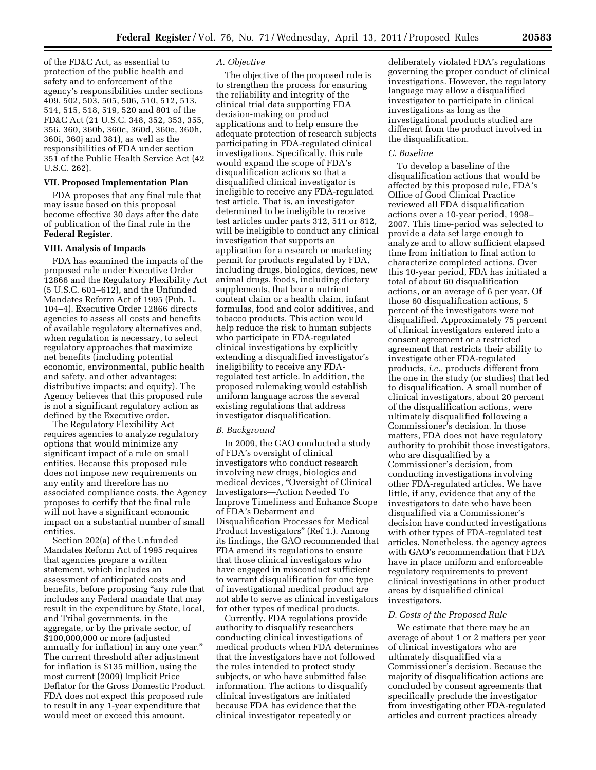of the FD&C Act, as essential to protection of the public health and safety and to enforcement of the agency's responsibilities under sections 409, 502, 503, 505, 506, 510, 512, 513, 514, 515, 518, 519, 520 and 801 of the FD&C Act (21 U.S.C. 348, 352, 353, 355, 356, 360, 360b, 360c, 360d, 360e, 360h, 360i, 360j and 381), as well as the responsibilities of FDA under section 351 of the Public Health Service Act (42 U.S.C. 262).

# **VII. Proposed Implementation Plan**

FDA proposes that any final rule that may issue based on this proposal become effective 30 days after the date of publication of the final rule in the **Federal Register**.

#### **VIII. Analysis of Impacts**

FDA has examined the impacts of the proposed rule under Executive Order 12866 and the Regulatory Flexibility Act (5 U.S.C. 601–612), and the Unfunded Mandates Reform Act of 1995 (Pub. L. 104–4). Executive Order 12866 directs agencies to assess all costs and benefits of available regulatory alternatives and, when regulation is necessary, to select regulatory approaches that maximize net benefits (including potential economic, environmental, public health and safety, and other advantages; distributive impacts; and equity). The Agency believes that this proposed rule is not a significant regulatory action as defined by the Executive order.

The Regulatory Flexibility Act requires agencies to analyze regulatory options that would minimize any significant impact of a rule on small entities. Because this proposed rule does not impose new requirements on any entity and therefore has no associated compliance costs, the Agency proposes to certify that the final rule will not have a significant economic impact on a substantial number of small entities.

Section 202(a) of the Unfunded Mandates Reform Act of 1995 requires that agencies prepare a written statement, which includes an assessment of anticipated costs and benefits, before proposing "any rule that includes any Federal mandate that may result in the expenditure by State, local, and Tribal governments, in the aggregate, or by the private sector, of \$100,000,000 or more (adjusted annually for inflation) in any one year.'' The current threshold after adjustment for inflation is \$135 million, using the most current (2009) Implicit Price Deflator for the Gross Domestic Product. FDA does not expect this proposed rule to result in any 1-year expenditure that would meet or exceed this amount.

## *A. Objective*

The objective of the proposed rule is to strengthen the process for ensuring the reliability and integrity of the clinical trial data supporting FDA decision-making on product applications and to help ensure the adequate protection of research subjects participating in FDA-regulated clinical investigations. Specifically, this rule would expand the scope of FDA's disqualification actions so that a disqualified clinical investigator is ineligible to receive any FDA-regulated test article. That is, an investigator determined to be ineligible to receive test articles under parts 312, 511 or 812, will be ineligible to conduct any clinical investigation that supports an application for a research or marketing permit for products regulated by FDA, including drugs, biologics, devices, new animal drugs, foods, including dietary supplements, that bear a nutrient content claim or a health claim, infant formulas, food and color additives, and tobacco products. This action would help reduce the risk to human subjects who participate in FDA-regulated clinical investigations by explicitly extending a disqualified investigator's ineligibility to receive any FDAregulated test article. In addition, the proposed rulemaking would establish uniform language across the several existing regulations that address investigator disqualification.

#### *B. Background*

In 2009, the GAO conducted a study of FDA's oversight of clinical investigators who conduct research involving new drugs, biologics and medical devices, "Oversight of Clinical Investigators—Action Needed To Improve Timeliness and Enhance Scope of FDA's Debarment and Disqualification Processes for Medical Product Investigators'' (Ref 1.). Among its findings, the GAO recommended that FDA amend its regulations to ensure that those clinical investigators who have engaged in misconduct sufficient to warrant disqualification for one type of investigational medical product are not able to serve as clinical investigators for other types of medical products.

Currently, FDA regulations provide authority to disqualify researchers conducting clinical investigations of medical products when FDA determines that the investigators have not followed the rules intended to protect study subjects, or who have submitted false information. The actions to disqualify clinical investigators are initiated because FDA has evidence that the clinical investigator repeatedly or

deliberately violated FDA's regulations governing the proper conduct of clinical investigations. However, the regulatory language may allow a disqualified investigator to participate in clinical investigations as long as the investigational products studied are different from the product involved in the disqualification.

## *C. Baseline*

To develop a baseline of the disqualification actions that would be affected by this proposed rule, FDA's Office of Good Clinical Practice reviewed all FDA disqualification actions over a 10-year period, 1998– 2007. This time-period was selected to provide a data set large enough to analyze and to allow sufficient elapsed time from initiation to final action to characterize completed actions. Over this 10-year period, FDA has initiated a total of about 60 disqualification actions, or an average of 6 per year. Of those 60 disqualification actions, 5 percent of the investigators were not disqualified. Approximately 75 percent of clinical investigators entered into a consent agreement or a restricted agreement that restricts their ability to investigate other FDA-regulated products, *i.e.,* products different from the one in the study (or studies) that led to disqualification. A small number of clinical investigators, about 20 percent of the disqualification actions, were ultimately disqualified following a Commissioner's decision. In those matters, FDA does not have regulatory authority to prohibit those investigators, who are disqualified by a Commissioner's decision, from conducting investigations involving other FDA-regulated articles. We have little, if any, evidence that any of the investigators to date who have been disqualified via a Commissioner's decision have conducted investigations with other types of FDA-regulated test articles. Nonetheless, the agency agrees with GAO's recommendation that FDA have in place uniform and enforceable regulatory requirements to prevent clinical investigations in other product areas by disqualified clinical investigators.

## *D. Costs of the Proposed Rule*

We estimate that there may be an average of about 1 or 2 matters per year of clinical investigators who are ultimately disqualified via a Commissioner's decision. Because the majority of disqualification actions are concluded by consent agreements that specifically preclude the investigator from investigating other FDA-regulated articles and current practices already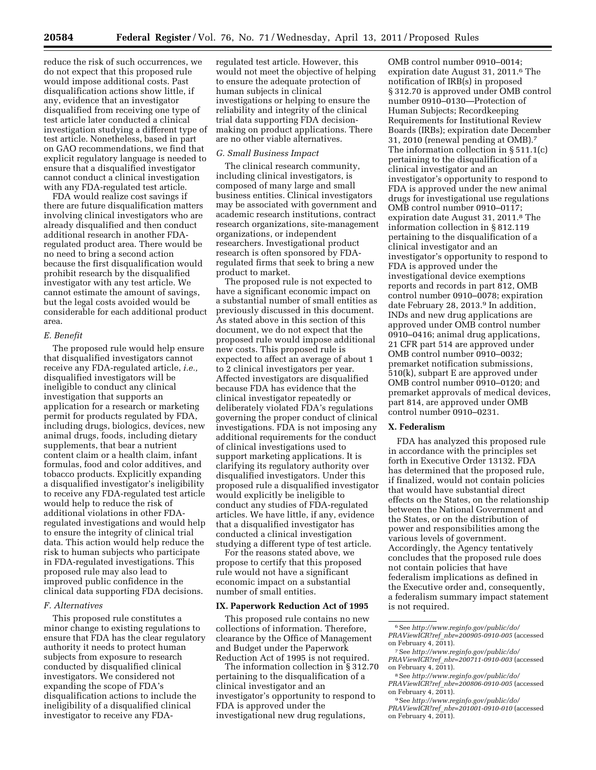reduce the risk of such occurrences, we do not expect that this proposed rule would impose additional costs. Past disqualification actions show little, if any, evidence that an investigator disqualified from receiving one type of test article later conducted a clinical investigation studying a different type of test article. Nonetheless, based in part on GAO recommendations, we find that explicit regulatory language is needed to ensure that a disqualified investigator cannot conduct a clinical investigation with any FDA-regulated test article.

FDA would realize cost savings if there are future disqualification matters involving clinical investigators who are already disqualified and then conduct additional research in another FDAregulated product area. There would be no need to bring a second action because the first disqualification would prohibit research by the disqualified investigator with any test article. We cannot estimate the amount of savings, but the legal costs avoided would be considerable for each additional product area.

# *E. Benefit*

The proposed rule would help ensure that disqualified investigators cannot receive any FDA-regulated article, *i.e.,*  disqualified investigators will be ineligible to conduct any clinical investigation that supports an application for a research or marketing permit for products regulated by FDA, including drugs, biologics, devices, new animal drugs, foods, including dietary supplements, that bear a nutrient content claim or a health claim, infant formulas, food and color additives, and tobacco products. Explicitly expanding a disqualified investigator's ineligibility to receive any FDA-regulated test article would help to reduce the risk of additional violations in other FDAregulated investigations and would help to ensure the integrity of clinical trial data. This action would help reduce the risk to human subjects who participate in FDA-regulated investigations. This proposed rule may also lead to improved public confidence in the clinical data supporting FDA decisions.

# *F. Alternatives*

This proposed rule constitutes a minor change to existing regulations to ensure that FDA has the clear regulatory authority it needs to protect human subjects from exposure to research conducted by disqualified clinical investigators. We considered not expanding the scope of FDA's disqualification actions to include the ineligibility of a disqualified clinical investigator to receive any FDA-

regulated test article. However, this would not meet the objective of helping to ensure the adequate protection of human subjects in clinical investigations or helping to ensure the reliability and integrity of the clinical trial data supporting FDA decisionmaking on product applications. There are no other viable alternatives.

# *G. Small Business Impact*

The clinical research community, including clinical investigators, is composed of many large and small business entities. Clinical investigators may be associated with government and academic research institutions, contract research organizations, site-management organizations, or independent researchers. Investigational product research is often sponsored by FDAregulated firms that seek to bring a new product to market.

The proposed rule is not expected to have a significant economic impact on a substantial number of small entities as previously discussed in this document. As stated above in this section of this document, we do not expect that the proposed rule would impose additional new costs. This proposed rule is expected to affect an average of about 1 to 2 clinical investigators per year. Affected investigators are disqualified because FDA has evidence that the clinical investigator repeatedly or deliberately violated FDA's regulations governing the proper conduct of clinical investigations. FDA is not imposing any additional requirements for the conduct of clinical investigations used to support marketing applications. It is clarifying its regulatory authority over disqualified investigators. Under this proposed rule a disqualified investigator would explicitly be ineligible to conduct any studies of FDA-regulated articles. We have little, if any, evidence that a disqualified investigator has conducted a clinical investigation studying a different type of test article.

For the reasons stated above, we propose to certify that this proposed rule would not have a significant economic impact on a substantial number of small entities.

#### **IX. Paperwork Reduction Act of 1995**

This proposed rule contains no new collections of information. Therefore, clearance by the Office of Management and Budget under the Paperwork Reduction Act of 1995 is not required.

The information collection in § 312.70 pertaining to the disqualification of a clinical investigator and an investigator's opportunity to respond to FDA is approved under the investigational new drug regulations,

OMB control number 0910–0014; expiration date August 31, 2011.6 The notification of IRB(s) in proposed § 312.70 is approved under OMB control number 0910–0130—Protection of Human Subjects; Recordkeeping Requirements for Institutional Review Boards (IRBs); expiration date December 31, 2010 (renewal pending at OMB).7 The information collection in § 511.1(c) pertaining to the disqualification of a clinical investigator and an investigator's opportunity to respond to FDA is approved under the new animal drugs for investigational use regulations OMB control number 0910–0117; expiration date August 31, 2011.8 The information collection in § 812.119 pertaining to the disqualification of a clinical investigator and an investigator's opportunity to respond to FDA is approved under the investigational device exemptions reports and records in part 812, OMB control number 0910–0078; expiration date February 28, 2013.9 In addition, INDs and new drug applications are approved under OMB control number 0910–0416; animal drug applications, 21 CFR part 514 are approved under OMB control number 0910–0032; premarket notification submissions, 510(k), subpart E are approved under OMB control number 0910–0120; and premarket approvals of medical devices, part 814, are approved under OMB control number 0910–0231.

# **X. Federalism**

FDA has analyzed this proposed rule in accordance with the principles set forth in Executive Order 13132. FDA has determined that the proposed rule, if finalized, would not contain policies that would have substantial direct effects on the States, on the relationship between the National Government and the States, or on the distribution of power and responsibilities among the various levels of government. Accordingly, the Agency tentatively concludes that the proposed rule does not contain policies that have federalism implications as defined in the Executive order and, consequently, a federalism summary impact statement is not required.

- 7See *[http://www.reginfo.gov/public/do/](http://www.reginfo.gov/public/do/PRAViewICR?ref_nbr=200711-0910-003) PRAViewICR?ref*\_*[nbr=200711-0910-003](http://www.reginfo.gov/public/do/PRAViewICR?ref_nbr=200711-0910-003)* (accessed on February 4, 2011).
- 8See *[http://www.reginfo.gov/public/do/](http://www.reginfo.gov/public/do/PRAViewICR?ref_nbr=200806-0910-005) PRAViewICR?ref*\_*[nbr=200806-0910-005](http://www.reginfo.gov/public/do/PRAViewICR?ref_nbr=200806-0910-005)* (accessed on February 4, 2011).

9See *[http://www.reginfo.gov/public/do/](http://www.reginfo.gov/public/do/PRAViewICR?ref_nbr=201001-0910-010) PRAViewICR?ref*\_*[nbr=201001-0910-010](http://www.reginfo.gov/public/do/PRAViewICR?ref_nbr=201001-0910-010)* (accessed on February 4,  $2011$ ).

<sup>6</sup>See *[http://www.reginfo.gov/public/do/](http://www.reginfo.gov/public/do/PRAViewICR?ref_nbr=200905-0910-005) PRAViewICR?ref*\_*[nbr=200905-0910-005](http://www.reginfo.gov/public/do/PRAViewICR?ref_nbr=200905-0910-005)* (accessed on February 4, 2011).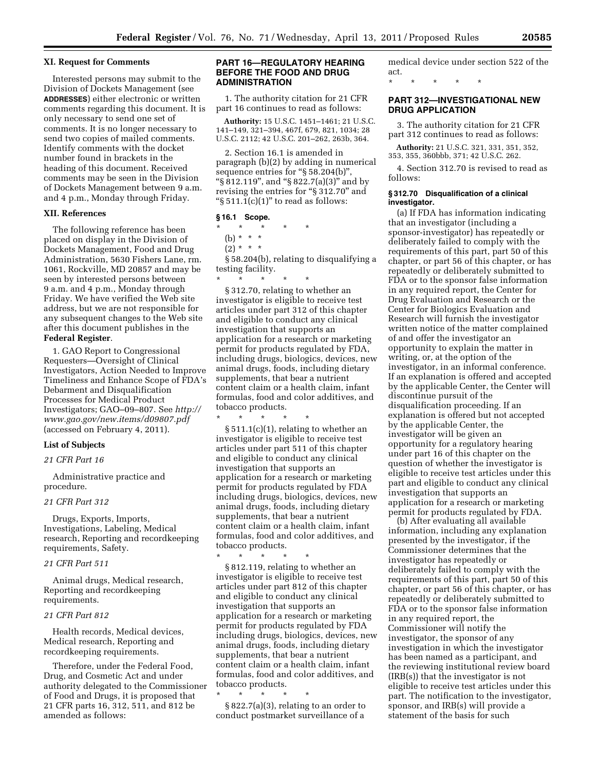### **XI. Request for Comments**

Interested persons may submit to the Division of Dockets Management (see **ADDRESSES**) either electronic or written comments regarding this document. It is only necessary to send one set of comments. It is no longer necessary to send two copies of mailed comments. Identify comments with the docket number found in brackets in the heading of this document. Received comments may be seen in the Division of Dockets Management between 9 a.m. and 4 p.m., Monday through Friday.

## **XII. References**

The following reference has been placed on display in the Division of Dockets Management, Food and Drug Administration, 5630 Fishers Lane, rm. 1061, Rockville, MD 20857 and may be seen by interested persons between 9 a.m. and 4 p.m., Monday through Friday. We have verified the Web site address, but we are not responsible for any subsequent changes to the Web site after this document publishes in the **Federal Register**.

1. GAO Report to Congressional Requesters—Oversight of Clinical Investigators, Action Needed to Improve Timeliness and Enhance Scope of FDA's Debarment and Disqualification Processes for Medical Product Investigators; GAO–09–807. See *[http://](http://www.gao.gov/new.items/d09807.pdf) [www.gao.gov/new.items/d09807.pdf](http://www.gao.gov/new.items/d09807.pdf)*  (accessed on February 4, 2011).

# **List of Subjects**

# *21 CFR Part 16*

Administrative practice and procedure.

## *21 CFR Part 312*

Drugs, Exports, Imports, Investigations, Labeling, Medical research, Reporting and recordkeeping requirements, Safety.

# *21 CFR Part 511*

Animal drugs, Medical research, Reporting and recordkeeping requirements.

## *21 CFR Part 812*

Health records, Medical devices, Medical research, Reporting and recordkeeping requirements.

Therefore, under the Federal Food, Drug, and Cosmetic Act and under authority delegated to the Commissioner of Food and Drugs, it is proposed that 21 CFR parts 16, 312, 511, and 812 be amended as follows:

## **PART 16—REGULATORY HEARING BEFORE THE FOOD AND DRUG ADMINISTRATION**

1. The authority citation for 21 CFR part 16 continues to read as follows:

**Authority:** 15 U.S.C. 1451–1461; 21 U.S.C. 141–149, 321–394, 467f, 679, 821, 1034; 28 U.S.C. 2112; 42 U.S.C. 201–262, 263b, 364.

2. Section 16.1 is amended in paragraph (b)(2) by adding in numerical sequence entries for "§ 58.204(b)", ''§ 812.119'', and ''§ 822.7(a)(3)'' and by revising the entries for ''§ 312.70'' and " $\S 511.1(c)(1)$ " to read as follows:

# **§ 16.1 Scope.**

\* \* \* \* \*

\* \* \* \* \*

- (b) \* \* \*
- $(2) * * * *$

§ 58.204(b), relating to disqualifying a testing facility.

\* \* \* \* \* § 312.70, relating to whether an investigator is eligible to receive test articles under part 312 of this chapter and eligible to conduct any clinical investigation that supports an application for a research or marketing permit for products regulated by FDA, including drugs, biologics, devices, new animal drugs, foods, including dietary supplements, that bear a nutrient content claim or a health claim, infant formulas, food and color additives, and tobacco products.

§ 511.1(c)(1), relating to whether an investigator is eligible to receive test articles under part 511 of this chapter and eligible to conduct any clinical investigation that supports an application for a research or marketing permit for products regulated by FDA including drugs, biologics, devices, new animal drugs, foods, including dietary supplements, that bear a nutrient content claim or a health claim, infant formulas, food and color additives, and tobacco products.

\* \* \* \* \* § 812.119, relating to whether an investigator is eligible to receive test articles under part 812 of this chapter and eligible to conduct any clinical investigation that supports an application for a research or marketing permit for products regulated by FDA including drugs, biologics, devices, new animal drugs, foods, including dietary supplements, that bear a nutrient content claim or a health claim, infant formulas, food and color additives, and tobacco products.

\* \* \* \* \*

§ 822.7(a)(3), relating to an order to conduct postmarket surveillance of a

medical device under section 522 of the act.

\* \* \* \* \*

# **PART 312—INVESTIGATIONAL NEW DRUG APPLICATION**

3. The authority citation for 21 CFR part 312 continues to read as follows:

**Authority:** 21 U.S.C. 321, 331, 351, 352, 353, 355, 360bbb, 371; 42 U.S.C. 262.

4. Section 312.70 is revised to read as follows:

### **§ 312.70 Disqualification of a clinical investigator.**

(a) If FDA has information indicating that an investigator (including a sponsor-investigator) has repeatedly or deliberately failed to comply with the requirements of this part, part 50 of this chapter, or part 56 of this chapter, or has repeatedly or deliberately submitted to FDA or to the sponsor false information in any required report, the Center for Drug Evaluation and Research or the Center for Biologics Evaluation and Research will furnish the investigator written notice of the matter complained of and offer the investigator an opportunity to explain the matter in writing, or, at the option of the investigator, in an informal conference. If an explanation is offered and accepted by the applicable Center, the Center will discontinue pursuit of the disqualification proceeding. If an explanation is offered but not accepted by the applicable Center, the investigator will be given an opportunity for a regulatory hearing under part 16 of this chapter on the question of whether the investigator is eligible to receive test articles under this part and eligible to conduct any clinical investigation that supports an application for a research or marketing permit for products regulated by FDA.

(b) After evaluating all available information, including any explanation presented by the investigator, if the Commissioner determines that the investigator has repeatedly or deliberately failed to comply with the requirements of this part, part 50 of this chapter, or part 56 of this chapter, or has repeatedly or deliberately submitted to FDA or to the sponsor false information in any required report, the Commissioner will notify the investigator, the sponsor of any investigation in which the investigator has been named as a participant, and the reviewing institutional review board (IRB(s)) that the investigator is not eligible to receive test articles under this part. The notification to the investigator, sponsor, and IRB(s) will provide a statement of the basis for such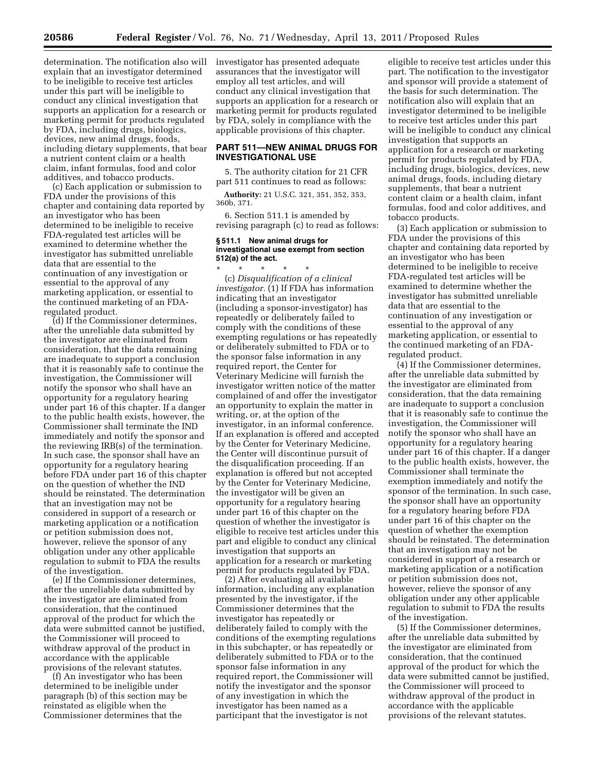determination. The notification also will investigator has presented adequate explain that an investigator determined to be ineligible to receive test articles under this part will be ineligible to conduct any clinical investigation that supports an application for a research or marketing permit for products regulated by FDA, including drugs, biologics, devices, new animal drugs, foods, including dietary supplements, that bear a nutrient content claim or a health claim, infant formulas, food and color additives, and tobacco products.

(c) Each application or submission to FDA under the provisions of this chapter and containing data reported by an investigator who has been determined to be ineligible to receive FDA-regulated test articles will be examined to determine whether the investigator has submitted unreliable data that are essential to the continuation of any investigation or essential to the approval of any marketing application, or essential to the continued marketing of an FDAregulated product.

(d) If the Commissioner determines, after the unreliable data submitted by the investigator are eliminated from consideration, that the data remaining are inadequate to support a conclusion that it is reasonably safe to continue the investigation, the Commissioner will notify the sponsor who shall have an opportunity for a regulatory hearing under part 16 of this chapter. If a danger to the public health exists, however, the Commissioner shall terminate the IND immediately and notify the sponsor and the reviewing IRB(s) of the termination. In such case, the sponsor shall have an opportunity for a regulatory hearing before FDA under part 16 of this chapter on the question of whether the IND should be reinstated. The determination that an investigation may not be considered in support of a research or marketing application or a notification or petition submission does not, however, relieve the sponsor of any obligation under any other applicable regulation to submit to FDA the results of the investigation.

(e) If the Commissioner determines, after the unreliable data submitted by the investigator are eliminated from consideration, that the continued approval of the product for which the data were submitted cannot be justified, the Commissioner will proceed to withdraw approval of the product in accordance with the applicable provisions of the relevant statutes.

(f) An investigator who has been determined to be ineligible under paragraph (b) of this section may be reinstated as eligible when the Commissioner determines that the

assurances that the investigator will employ all test articles, and will conduct any clinical investigation that supports an application for a research or marketing permit for products regulated by FDA, solely in compliance with the applicable provisions of this chapter.

# **PART 511—NEW ANIMAL DRUGS FOR INVESTIGATIONAL USE**

5. The authority citation for 21 CFR part 511 continues to read as follows:

**Authority:** 21 U.S.C. 321, 351, 352, 353, 360b, 371.

6. Section 511.1 is amended by revising paragraph (c) to read as follows:

#### **§ 511.1 New animal drugs for investigational use exempt from section 512(a) of the act.**

\* \* \* \* \* (c) *Disqualification of a clinical investigator.* (1) If FDA has information indicating that an investigator (including a sponsor-investigator) has repeatedly or deliberately failed to comply with the conditions of these exempting regulations or has repeatedly or deliberately submitted to FDA or to the sponsor false information in any required report, the Center for Veterinary Medicine will furnish the investigator written notice of the matter complained of and offer the investigator an opportunity to explain the matter in writing, or, at the option of the investigator, in an informal conference. If an explanation is offered and accepted by the Center for Veterinary Medicine, the Center will discontinue pursuit of the disqualification proceeding. If an explanation is offered but not accepted by the Center for Veterinary Medicine, the investigator will be given an opportunity for a regulatory hearing under part 16 of this chapter on the question of whether the investigator is eligible to receive test articles under this part and eligible to conduct any clinical investigation that supports an application for a research or marketing permit for products regulated by FDA.

(2) After evaluating all available information, including any explanation presented by the investigator, if the Commissioner determines that the investigator has repeatedly or deliberately failed to comply with the conditions of the exempting regulations in this subchapter, or has repeatedly or deliberately submitted to FDA or to the sponsor false information in any required report, the Commissioner will notify the investigator and the sponsor of any investigation in which the investigator has been named as a participant that the investigator is not

eligible to receive test articles under this part. The notification to the investigator and sponsor will provide a statement of the basis for such determination. The notification also will explain that an investigator determined to be ineligible to receive test articles under this part will be ineligible to conduct any clinical investigation that supports an application for a research or marketing permit for products regulated by FDA, including drugs, biologics, devices, new animal drugs, foods, including dietary supplements, that bear a nutrient content claim or a health claim, infant formulas, food and color additives, and tobacco products.

(3) Each application or submission to FDA under the provisions of this chapter and containing data reported by an investigator who has been determined to be ineligible to receive FDA-regulated test articles will be examined to determine whether the investigator has submitted unreliable data that are essential to the continuation of any investigation or essential to the approval of any marketing application, or essential to the continued marketing of an FDAregulated product.

(4) If the Commissioner determines, after the unreliable data submitted by the investigator are eliminated from consideration, that the data remaining are inadequate to support a conclusion that it is reasonably safe to continue the investigation, the Commissioner will notify the sponsor who shall have an opportunity for a regulatory hearing under part 16 of this chapter. If a danger to the public health exists, however, the Commissioner shall terminate the exemption immediately and notify the sponsor of the termination. In such case, the sponsor shall have an opportunity for a regulatory hearing before FDA under part 16 of this chapter on the question of whether the exemption should be reinstated. The determination that an investigation may not be considered in support of a research or marketing application or a notification or petition submission does not, however, relieve the sponsor of any obligation under any other applicable regulation to submit to FDA the results of the investigation.

(5) If the Commissioner determines, after the unreliable data submitted by the investigator are eliminated from consideration, that the continued approval of the product for which the data were submitted cannot be justified, the Commissioner will proceed to withdraw approval of the product in accordance with the applicable provisions of the relevant statutes.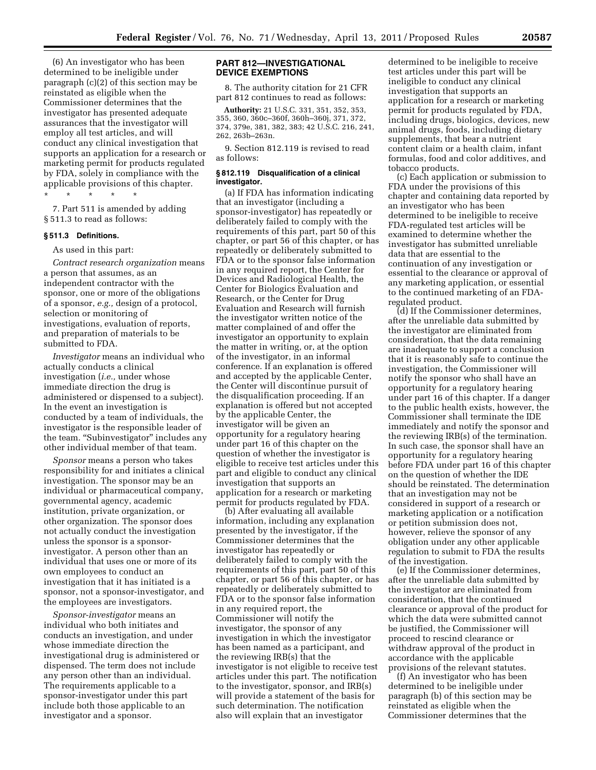(6) An investigator who has been determined to be ineligible under paragraph (c)(2) of this section may be reinstated as eligible when the Commissioner determines that the investigator has presented adequate assurances that the investigator will employ all test articles, and will conduct any clinical investigation that supports an application for a research or marketing permit for products regulated by FDA, solely in compliance with the applicable provisions of this chapter.

\* \* \* \* \* 7. Part 511 is amended by adding § 511.3 to read as follows:

#### **§ 511.3 Definitions.**

As used in this part:

*Contract research organization* means a person that assumes, as an independent contractor with the sponsor, one or more of the obligations of a sponsor, *e.g.,* design of a protocol, selection or monitoring of investigations, evaluation of reports, and preparation of materials to be submitted to FDA.

*Investigator* means an individual who actually conducts a clinical investigation (*i.e.,* under whose immediate direction the drug is administered or dispensed to a subject). In the event an investigation is conducted by a team of individuals, the investigator is the responsible leader of the team. "Subinvestigator" includes any other individual member of that team.

*Sponsor* means a person who takes responsibility for and initiates a clinical investigation. The sponsor may be an individual or pharmaceutical company, governmental agency, academic institution, private organization, or other organization. The sponsor does not actually conduct the investigation unless the sponsor is a sponsorinvestigator. A person other than an individual that uses one or more of its own employees to conduct an investigation that it has initiated is a sponsor, not a sponsor-investigator, and the employees are investigators.

*Sponsor-investigator* means an individual who both initiates and conducts an investigation, and under whose immediate direction the investigational drug is administered or dispensed. The term does not include any person other than an individual. The requirements applicable to a sponsor-investigator under this part include both those applicable to an investigator and a sponsor.

# **PART 812—INVESTIGATIONAL DEVICE EXEMPTIONS**

8. The authority citation for 21 CFR part 812 continues to read as follows:

**Authority:** 21 U.S.C. 331, 351, 352, 353, 355, 360, 360c–360f, 360h–360j, 371, 372, 374, 379e, 381, 382, 383; 42 U.S.C. 216, 241, 262, 263b–263n.

9. Section 812.119 is revised to read as follows:

## **§ 812.119 Disqualification of a clinical investigator.**

(a) If FDA has information indicating that an investigator (including a sponsor-investigator) has repeatedly or deliberately failed to comply with the requirements of this part, part 50 of this chapter, or part 56 of this chapter, or has repeatedly or deliberately submitted to FDA or to the sponsor false information in any required report, the Center for Devices and Radiological Health, the Center for Biologics Evaluation and Research, or the Center for Drug Evaluation and Research will furnish the investigator written notice of the matter complained of and offer the investigator an opportunity to explain the matter in writing, or, at the option of the investigator, in an informal conference. If an explanation is offered and accepted by the applicable Center, the Center will discontinue pursuit of the disqualification proceeding. If an explanation is offered but not accepted by the applicable Center, the investigator will be given an opportunity for a regulatory hearing under part 16 of this chapter on the question of whether the investigator is eligible to receive test articles under this part and eligible to conduct any clinical investigation that supports an application for a research or marketing permit for products regulated by FDA.

(b) After evaluating all available information, including any explanation presented by the investigator, if the Commissioner determines that the investigator has repeatedly or deliberately failed to comply with the requirements of this part, part 50 of this chapter, or part 56 of this chapter, or has repeatedly or deliberately submitted to FDA or to the sponsor false information in any required report, the Commissioner will notify the investigator, the sponsor of any investigation in which the investigator has been named as a participant, and the reviewing IRB(s) that the investigator is not eligible to receive test articles under this part. The notification to the investigator, sponsor, and IRB(s) will provide a statement of the basis for such determination. The notification also will explain that an investigator

determined to be ineligible to receive test articles under this part will be ineligible to conduct any clinical investigation that supports an application for a research or marketing permit for products regulated by FDA, including drugs, biologics, devices, new animal drugs, foods, including dietary supplements, that bear a nutrient content claim or a health claim, infant formulas, food and color additives, and tobacco products.

(c) Each application or submission to FDA under the provisions of this chapter and containing data reported by an investigator who has been determined to be ineligible to receive FDA-regulated test articles will be examined to determine whether the investigator has submitted unreliable data that are essential to the continuation of any investigation or essential to the clearance or approval of any marketing application, or essential to the continued marketing of an FDAregulated product.

(d) If the Commissioner determines, after the unreliable data submitted by the investigator are eliminated from consideration, that the data remaining are inadequate to support a conclusion that it is reasonably safe to continue the investigation, the Commissioner will notify the sponsor who shall have an opportunity for a regulatory hearing under part 16 of this chapter. If a danger to the public health exists, however, the Commissioner shall terminate the IDE immediately and notify the sponsor and the reviewing IRB(s) of the termination. In such case, the sponsor shall have an opportunity for a regulatory hearing before FDA under part 16 of this chapter on the question of whether the IDE should be reinstated. The determination that an investigation may not be considered in support of a research or marketing application or a notification or petition submission does not, however, relieve the sponsor of any obligation under any other applicable regulation to submit to FDA the results of the investigation.

(e) If the Commissioner determines, after the unreliable data submitted by the investigator are eliminated from consideration, that the continued clearance or approval of the product for which the data were submitted cannot be justified, the Commissioner will proceed to rescind clearance or withdraw approval of the product in accordance with the applicable provisions of the relevant statutes.

(f) An investigator who has been determined to be ineligible under paragraph (b) of this section may be reinstated as eligible when the Commissioner determines that the